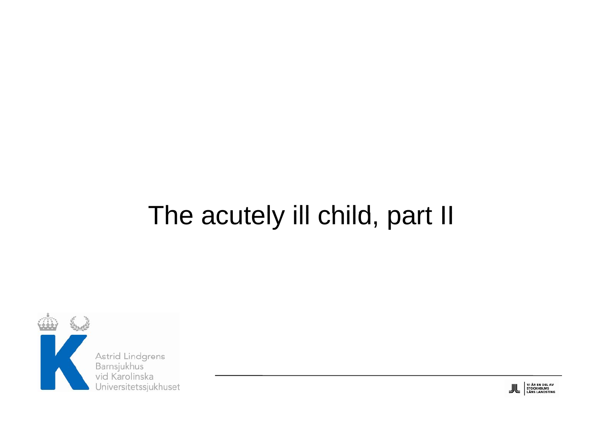## The acutely ill child, part II



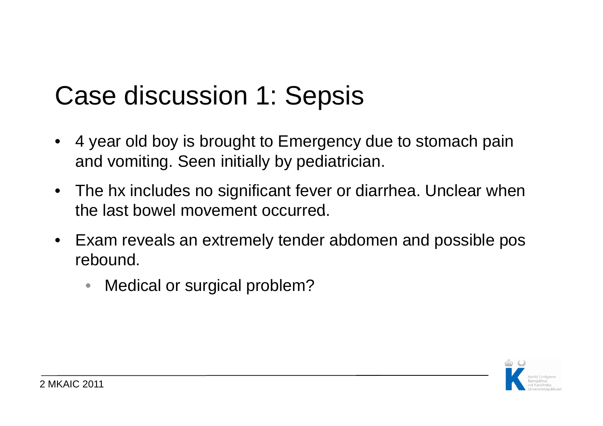## Case discussion 1: Sepsis

- $\bullet$  4 year old boy is brought to Emergency due to stomach pain and vomiting. Seen initially by pediatrician.
- The hx includes no significant fever or diarrhea. Unclear when the last bowel movement occurred.
- Exam reveals an extremely tender abdomen and possible pos rebound.
	- $\bullet$ Medical or surgical problem?

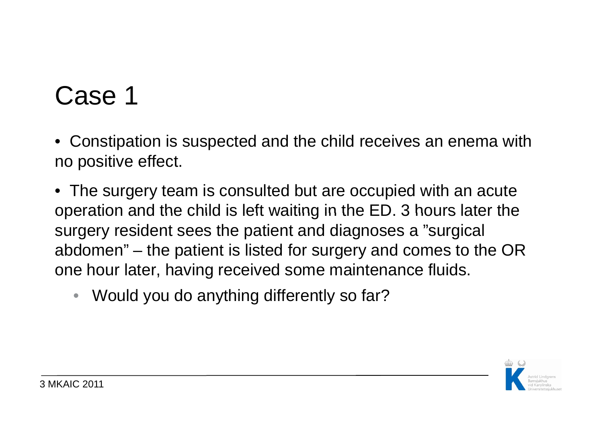• Constipation is suspected and the child receives an enema with no positive effect.

• The surgery team is consulted but are occupied with an acute operation and the child is left waiting in the ED. 3 hours later the surgery resident sees the patient and diagnoses a "surgical abdomen" – the patient is listed for surgery and comes to the OR one hour later, having received some maintenance fluids.

•Would you do anything differently so far?

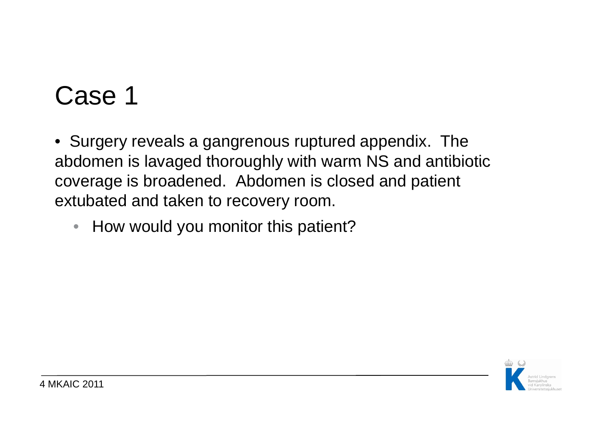• Surgery reveals a gangrenous ruptured appendix. The abdomen is lavaged thoroughly with warm NS and antibiotic coverage is broadened. Abdomen is closed and patient extubated and taken to recovery room.

 $\bullet$ How would you monitor this patient?

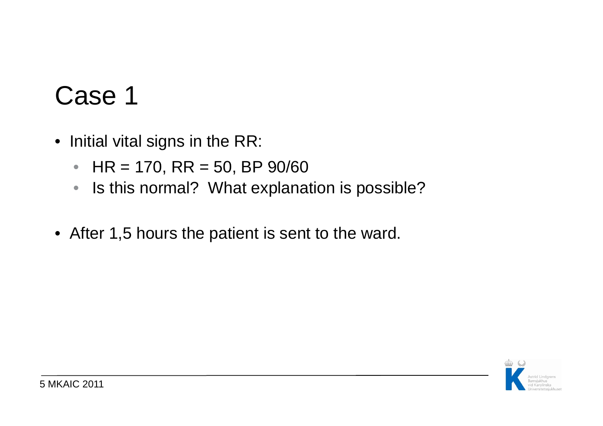- Initial vital signs in the RR:
	- HR = 170, RR = 50, BP 90/60
	- $\bullet$ Is this normal? What explanation is possible?
- After 1,5 hours the patient is sent to the ward.

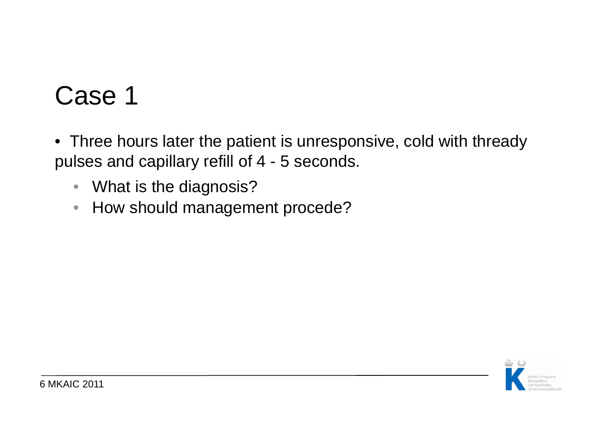- Three hours later the patient is unresponsive, cold with thready pulses and capillary refill of 4 - 5 seconds.
	- What is the diagnosis?
	- How should management procede?

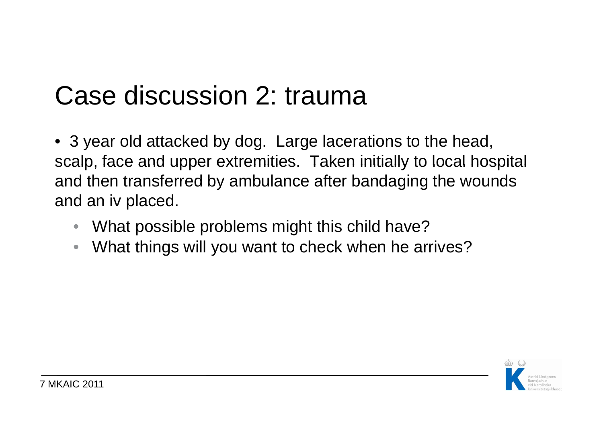## Case discussion 2: trauma

• 3 year old attacked by dog. Large lacerations to the head, scalp, face and upper extremities. Taken initially to local hospital and then transferred by ambulance after bandaging the wounds and an iv placed.

- •What possible problems might this child have?
- $\bullet$ What things will you want to check when he arrives?

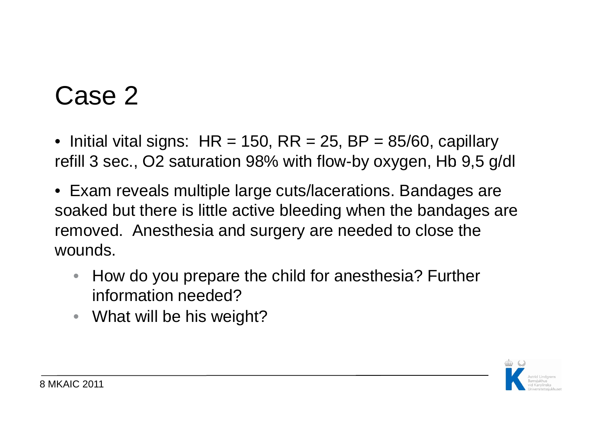- Initial vital signs:  $\text{HR} = 150, \, \text{RR} = 25, \, \text{BP} = 85/60, \, \text{capillary}$ refill 3 sec., O2 saturation 98% with flow-by oxygen, Hb 9,5 g/dl
- Exam reveals multiple large cuts/lacerations. Bandages are soaked but there is little active bleeding when the bandages are removed. Anesthesia and surgery are needed to close the wounds.
	- • How do you prepare the child for anesthesia? Further information needed?
	- What will be his weight?

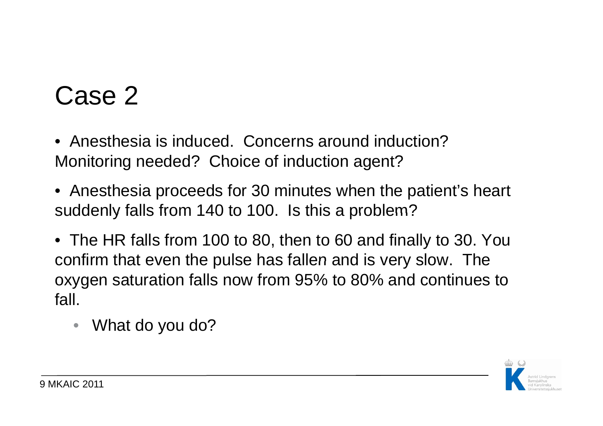• Anesthesia is induced. Concerns around induction? Monitoring needed? Choice of induction agent?

- Anesthesia proceeds for 30 minutes when the patient's heart suddenly falls from 140 to 100. Is this a problem?
- The HR falls from 100 to 80, then to 60 and finally to 30. You confirm that even the pulse has fallen and is very slow. The oxygen saturation falls now from 95% to 80% and continues to fall.
	- •What do you do?

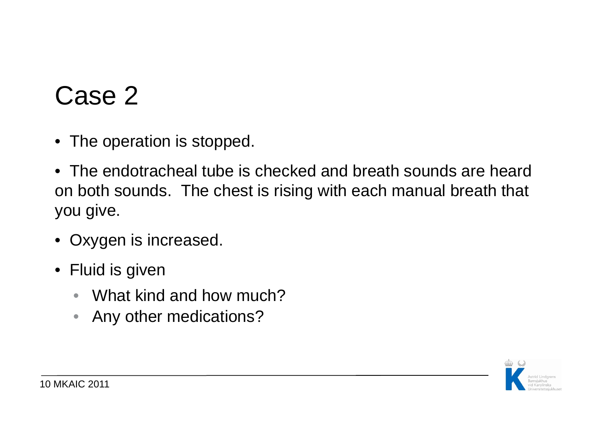- The operation is stopped.
- The endotracheal tube is checked and breath sounds are heard on both sounds. The chest is rising with each manual breath that you give.
- Oxygen is increased.
- Fluid is given
	- •What kind and how much?
	- $\bullet$ Any other medications?

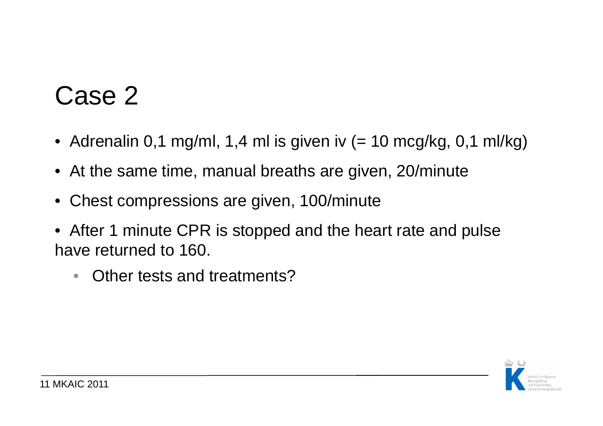- Adrenalin 0,1 mg/ml, 1,4 ml is given iv (= 10 mcg/kg, 0,1 ml/kg)
- At the same time, manual breaths are given, 20/minute
- Chest compressions are given, 100/minute
- After 1 minute CPR is stopped and the heart rate and pulse have returned to 160.
	- $\bullet$ Other tests and treatments?

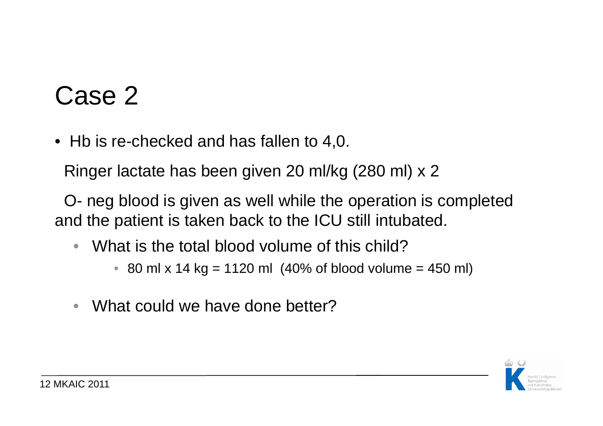• Hb is re-checked and has fallen to 4,0.

Ringer lactate has been given 20 ml/kg (280 ml) x 2

O- neg blood is given as well while the operation is completed and the patient is taken back to the ICU still intubated.

- • What is the total blood volume of this child?
	- $\bullet$  80 ml x 14 kg = 1120 ml (40% of blood volume = 450 ml)
- $\bullet$ What could we have done better?

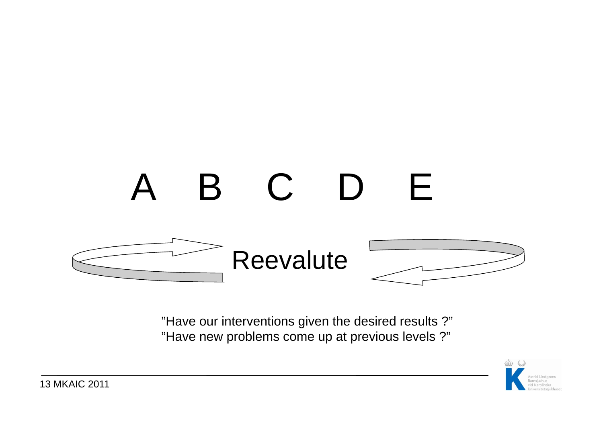

"Have our interventions given the desired results ?" "Have new problems come up at previous levels ?"

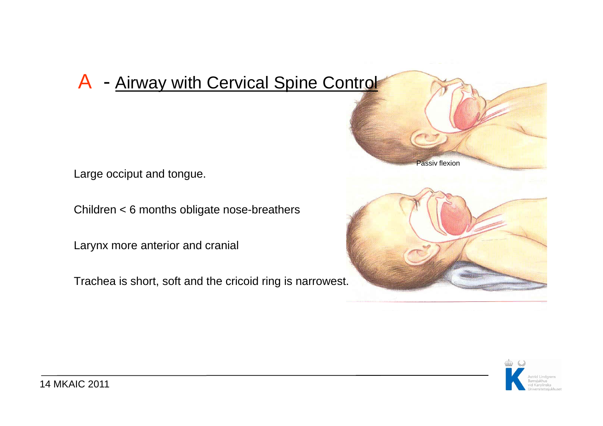### A - Airway with Cervical Spine Control

Large occiput and tongue.

Children < 6 months obligate nose-breathers<br>Larynx more anterior and cranial

Trachea is short, soft and the cricoid ring is narrowest.



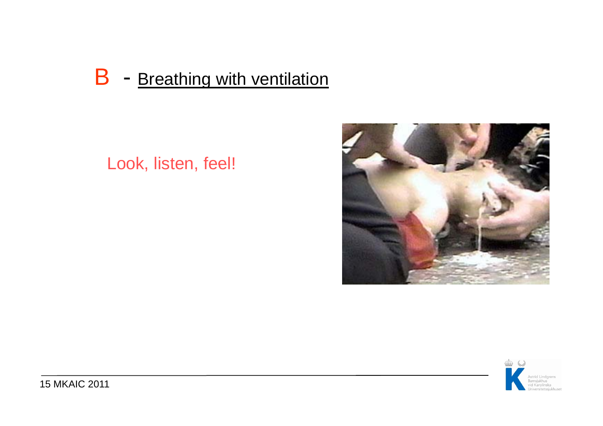#### $\overline{\mathsf{B}}$ - Breathing with ventilation

### Look, listen, feel!



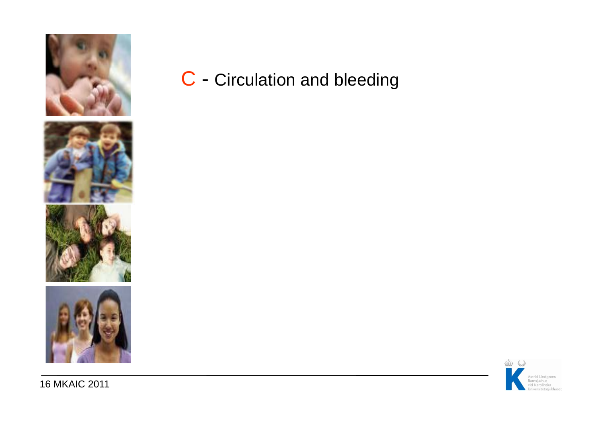





16 MKAIC 2011

C - Circulation and bleeding

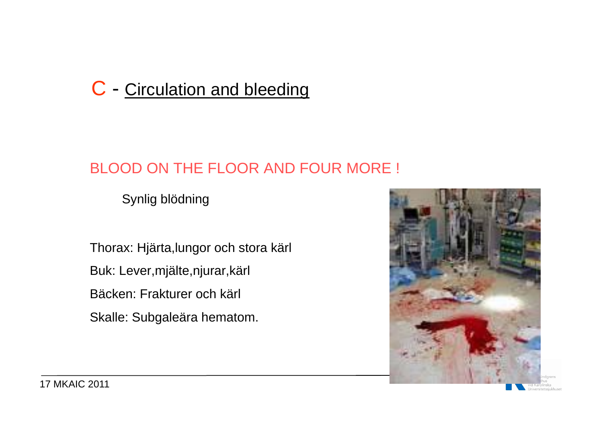### C - Circulation and bleeding

### BLOOD ON THE FLOOR AND FOUR MORE !

Synlig blödning

Thorax: Hjärta,lungor och stora kärl Buk: Lever,mjälte,njurar,kärl Bäcken: Frakturer och kärl Skalle: Subgaleära hematom.



17 MKAIC 2011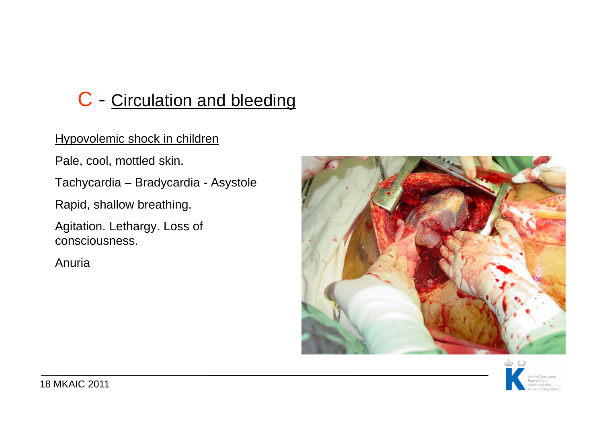### C - Circulation and bleeding

#### Hypovolemic shock in children

Pale, cool, mottled skin.

Tachycardia – Bradycardia - Asystole

Rapid, shallow breathing.

Agitation. Lethargy. Loss of consciousness.

Anuria



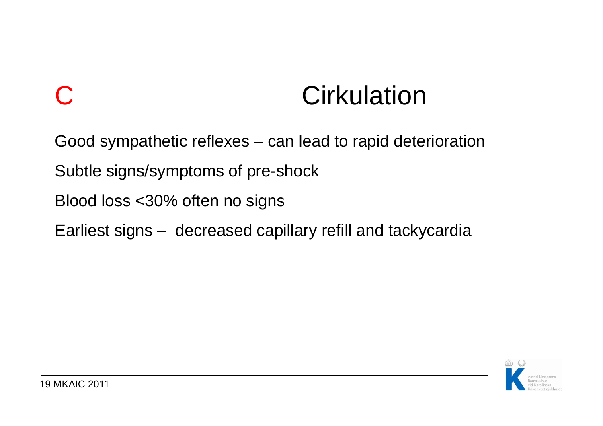# **Cirkulation**

Good sympathetic reflexes – can lead to rapid deterioration

Subtle signs/symptoms of pre-shock

Blood loss <30% often no signs

Earliest signs – decreased capillary refill and tackycardia



 $\bigcap$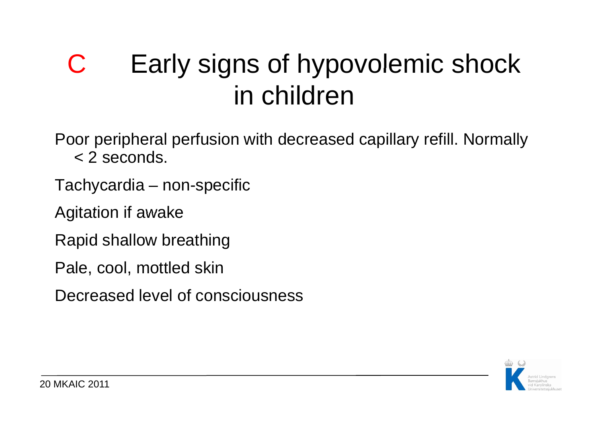### C Early signs of hypovolemic shock in children

Poor peripheral perfusion with decreased capillary refill. Normally < 2 seconds.

- Tachycardia non-specific
- Agitation if awake
- Rapid shallow breathing
- Pale, cool, mottled skin
- Decreased level of consciousness

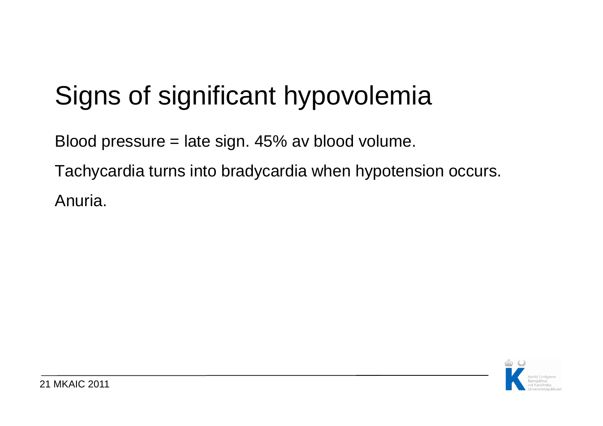# Signs of significant hypovolemia

Blood pressure = late sign. 45% av blood volume.

Tachycardia turns into bradycardia when hypotension occurs. Anuria.

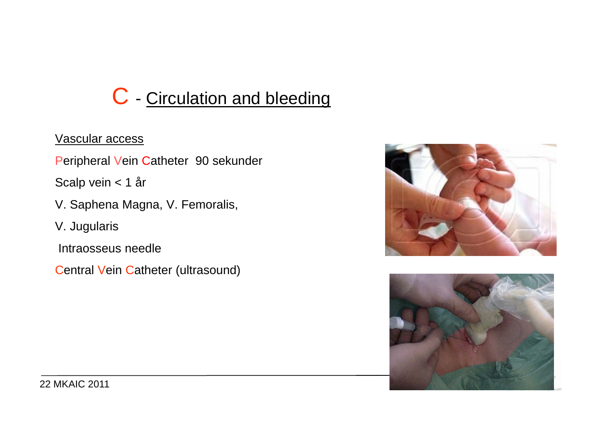### C - Circulation and bleeding

#### Vascular access

Peripheral Vein Catheter 90 sekunder

Scalp vein < 1 år

V. Saphena Magna, V. Femoralis,

V. Jugularis

Intraosseus needle

Central Vein Catheter (ultrasound)